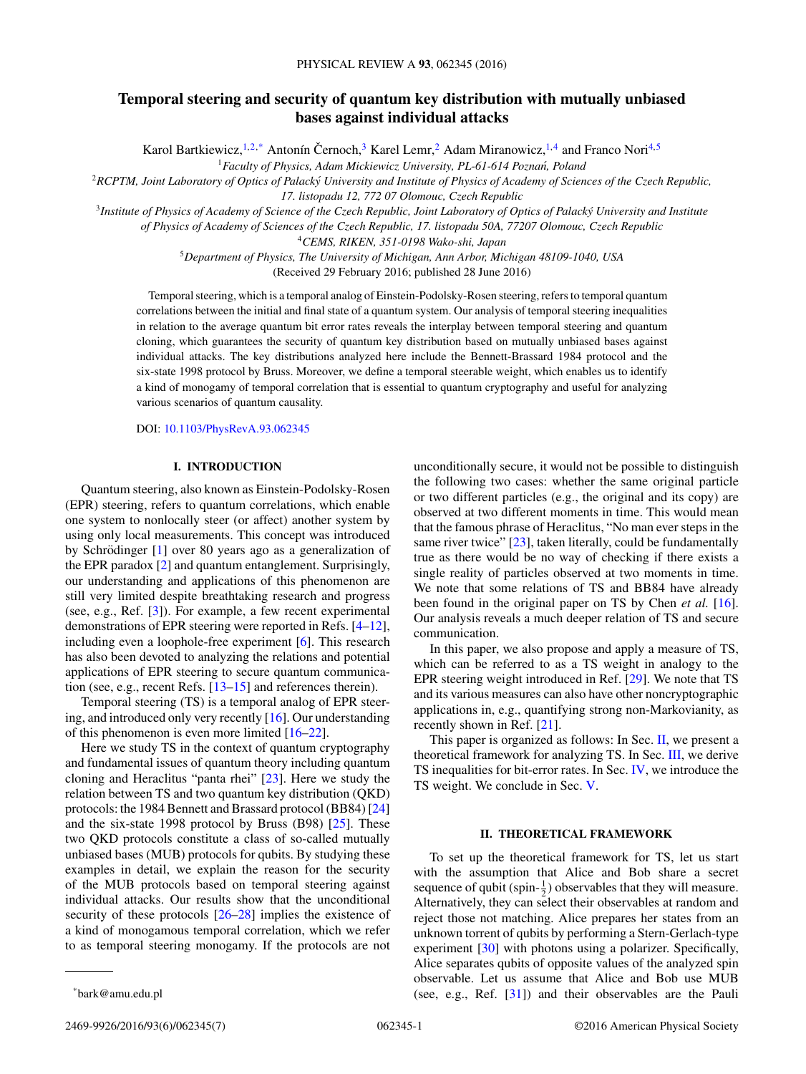# **Temporal steering and security of quantum key distribution with mutually unbiased bases against individual attacks**

Karol Bartkiewicz,<sup>1,2,\*</sup> Antonín Černoch,<sup>3</sup> Karel Lemr,<sup>2</sup> Adam Miranowicz,<sup>1,4</sup> and Franco Nori<sup>4,5</sup>

<sup>1</sup>*Faculty of Physics, Adam Mickiewicz University, PL-61-614 Poznan, Poland ´*

<sup>2</sup>*RCPTM, Joint Laboratory of Optics of Palacky University and Institute of Physics of Academy of Sciences of the Czech Republic, ´ 17. listopadu 12, 772 07 Olomouc, Czech Republic*

<sup>3</sup>*Institute of Physics of Academy of Science of the Czech Republic, Joint Laboratory of Optics of Palacky University and Institute ´*

*of Physics of Academy of Sciences of the Czech Republic, 17. listopadu 50A, 77207 Olomouc, Czech Republic*

<sup>4</sup>*CEMS, RIKEN, 351-0198 Wako-shi, Japan*

<sup>5</sup>*Department of Physics, The University of Michigan, Ann Arbor, Michigan 48109-1040, USA*

(Received 29 February 2016; published 28 June 2016)

Temporal steering, which is a temporal analog of Einstein-Podolsky-Rosen steering, refers to temporal quantum correlations between the initial and final state of a quantum system. Our analysis of temporal steering inequalities in relation to the average quantum bit error rates reveals the interplay between temporal steering and quantum cloning, which guarantees the security of quantum key distribution based on mutually unbiased bases against individual attacks. The key distributions analyzed here include the Bennett-Brassard 1984 protocol and the six-state 1998 protocol by Bruss. Moreover, we define a temporal steerable weight, which enables us to identify a kind of monogamy of temporal correlation that is essential to quantum cryptography and useful for analyzing various scenarios of quantum causality.

DOI: [10.1103/PhysRevA.93.062345](http://dx.doi.org/10.1103/PhysRevA.93.062345)

# **I. INTRODUCTION**

Quantum steering, also known as Einstein-Podolsky-Rosen (EPR) steering, refers to quantum correlations, which enable one system to nonlocally steer (or affect) another system by using only local measurements. This concept was introduced by Schrödinger  $[1]$  $[1]$  over 80 years ago as a generalization of the EPR paradox [\[2\]](#page-5-0) and quantum entanglement. Surprisingly, our understanding and applications of this phenomenon are still very limited despite breathtaking research and progress (see, e.g., Ref. [\[3\]](#page-5-0)). For example, a few recent experimental demonstrations of EPR steering were reported in Refs. [\[4–](#page-5-0)[12\]](#page-6-0), including even a loophole-free experiment [\[6\]](#page-5-0). This research has also been devoted to analyzing the relations and potential applications of EPR steering to secure quantum communication (see, e.g., recent Refs. [\[13–15\]](#page-6-0) and references therein).

Temporal steering (TS) is a temporal analog of EPR steering, and introduced only very recently [\[16\]](#page-6-0). Our understanding of this phenomenon is even more limited [\[16–22\]](#page-6-0).

Here we study TS in the context of quantum cryptography and fundamental issues of quantum theory including quantum cloning and Heraclitus "panta rhei" [\[23\]](#page-6-0). Here we study the relation between TS and two quantum key distribution (QKD) protocols: the 1984 Bennett and Brassard protocol (BB84) [\[24\]](#page-6-0) and the six-state 1998 protocol by Bruss (B98) [\[25\]](#page-6-0). These two QKD protocols constitute a class of so-called mutually unbiased bases (MUB) protocols for qubits. By studying these examples in detail, we explain the reason for the security of the MUB protocols based on temporal steering against individual attacks. Our results show that the unconditional security of these protocols [\[26–28\]](#page-6-0) implies the existence of a kind of monogamous temporal correlation, which we refer to as temporal steering monogamy. If the protocols are not

unconditionally secure, it would not be possible to distinguish the following two cases: whether the same original particle or two different particles (e.g., the original and its copy) are observed at two different moments in time. This would mean that the famous phrase of Heraclitus, "No man ever steps in the same river twice" [\[23\]](#page-6-0), taken literally, could be fundamentally true as there would be no way of checking if there exists a single reality of particles observed at two moments in time. We note that some relations of TS and BB84 have already been found in the original paper on TS by Chen *et al.* [\[16\]](#page-6-0). Our analysis reveals a much deeper relation of TS and secure communication.

In this paper, we also propose and apply a measure of TS, which can be referred to as a TS weight in analogy to the EPR steering weight introduced in Ref. [\[29\]](#page-6-0). We note that TS and its various measures can also have other noncryptographic applications in, e.g., quantifying strong non-Markovianity, as recently shown in Ref. [\[21\]](#page-6-0).

This paper is organized as follows: In Sec. II, we present a theoretical framework for analyzing TS. In Sec. [III,](#page-2-0) we derive TS inequalities for bit-error rates. In Sec. [IV,](#page-3-0) we introduce the TS weight. We conclude in Sec. [V.](#page-4-0)

# **II. THEORETICAL FRAMEWORK**

To set up the theoretical framework for TS, let us start with the assumption that Alice and Bob share a secret sequence of qubit (spin- $\frac{1}{2}$ ) observables that they will measure. Alternatively, they can select their observables at random and reject those not matching. Alice prepares her states from an unknown torrent of qubits by performing a Stern-Gerlach-type experiment [\[30\]](#page-6-0) with photons using a polarizer. Specifically, Alice separates qubits of opposite values of the analyzed spin observable. Let us assume that Alice and Bob use MUB (see, e.g., Ref. [\[31\]](#page-6-0)) and their observables are the Pauli

<sup>\*</sup>bark@amu.edu.pl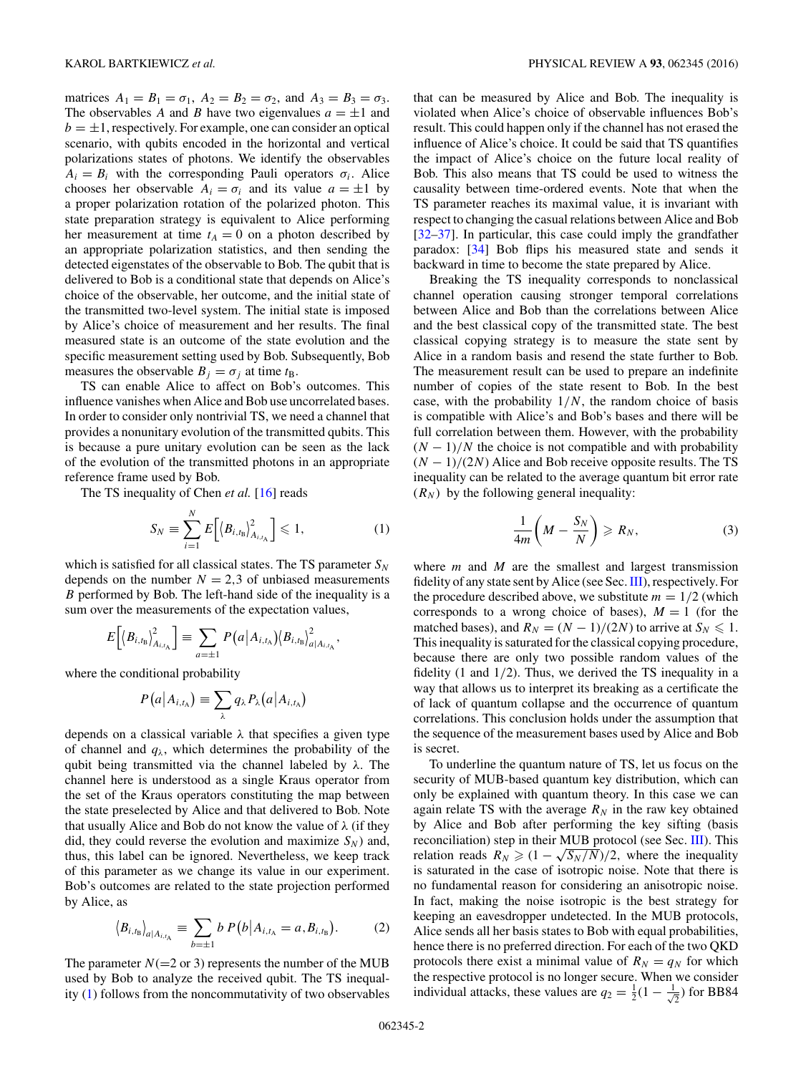<span id="page-1-0"></span>matrices  $A_1 = B_1 = \sigma_1$ ,  $A_2 = B_2 = \sigma_2$ , and  $A_3 = B_3 = \sigma_3$ . The observables *A* and *B* have two eigenvalues  $a = \pm 1$  and  $b = \pm 1$ , respectively. For example, one can consider an optical scenario, with qubits encoded in the horizontal and vertical polarizations states of photons. We identify the observables  $A_i = B_i$  with the corresponding Pauli operators  $\sigma_i$ . Alice chooses her observable  $A_i = \sigma_i$  and its value  $a = \pm 1$  by a proper polarization rotation of the polarized photon. This state preparation strategy is equivalent to Alice performing her measurement at time  $t_A = 0$  on a photon described by an appropriate polarization statistics, and then sending the detected eigenstates of the observable to Bob. The qubit that is delivered to Bob is a conditional state that depends on Alice's choice of the observable, her outcome, and the initial state of the transmitted two-level system. The initial state is imposed by Alice's choice of measurement and her results. The final measured state is an outcome of the state evolution and the specific measurement setting used by Bob. Subsequently, Bob measures the observable  $B_i = \sigma_i$  at time  $t_{\text{B}}$ .

TS can enable Alice to affect on Bob's outcomes. This influence vanishes when Alice and Bob use uncorrelated bases. In order to consider only nontrivial TS, we need a channel that provides a nonunitary evolution of the transmitted qubits. This is because a pure unitary evolution can be seen as the lack of the evolution of the transmitted photons in an appropriate reference frame used by Bob.

The TS inequality of Chen *et al.* [\[16\]](#page-6-0) reads

$$
S_N \equiv \sum_{i=1}^N E\Big[ \langle B_{i,t_B} \rangle_{A_{i,t_A}}^2 \Big] \leq 1, \tag{1}
$$

which is satisfied for all classical states. The TS parameter  $S_N$ depends on the number  $N = 2.3$  of unbiased measurements *B* performed by Bob. The left-hand side of the inequality is a sum over the measurements of the expectation values,

$$
E[(B_{i,t_{\rm B}})_{A_{i,t_{\rm A}}}^2] = \sum_{a=\pm 1} P(a|A_{i,t_{\rm A}}) (B_{i,t_{\rm B}})_{a|A_{i,t_{\rm A}}}^2,
$$

where the conditional probability

$$
P(a|A_{i,t_A}) \equiv \sum_{\lambda} q_{\lambda} P_{\lambda}(a|A_{i,t_A})
$$

depends on a classical variable *λ* that specifies a given type of channel and  $q_{\lambda}$ , which determines the probability of the qubit being transmitted via the channel labeled by *λ*. The channel here is understood as a single Kraus operator from the set of the Kraus operators constituting the map between the state preselected by Alice and that delivered to Bob. Note that usually Alice and Bob do not know the value of *λ* (if they did, they could reverse the evolution and maximize  $S_N$ ) and, thus, this label can be ignored. Nevertheless, we keep track of this parameter as we change its value in our experiment. Bob's outcomes are related to the state projection performed by Alice, as

$$
\langle B_{i,t_{\rm B}} \rangle_{a|A_{i,t_{\rm A}}} \equiv \sum_{b=\pm 1} b \, P(b|A_{i,t_{\rm A}} = a, B_{i,t_{\rm B}}). \tag{2}
$$

The parameter  $N(=2 \text{ or } 3)$  represents the number of the MUB used by Bob to analyze the received qubit. The TS inequality (1) follows from the noncommutativity of two observables that can be measured by Alice and Bob. The inequality is violated when Alice's choice of observable influences Bob's result. This could happen only if the channel has not erased the influence of Alice's choice. It could be said that TS quantifies the impact of Alice's choice on the future local reality of Bob. This also means that TS could be used to witness the causality between time-ordered events. Note that when the TS parameter reaches its maximal value, it is invariant with respect to changing the casual relations between Alice and Bob [\[32–37\]](#page-6-0). In particular, this case could imply the grandfather paradox: [\[34\]](#page-6-0) Bob flips his measured state and sends it backward in time to become the state prepared by Alice.

Breaking the TS inequality corresponds to nonclassical channel operation causing stronger temporal correlations between Alice and Bob than the correlations between Alice and the best classical copy of the transmitted state. The best classical copying strategy is to measure the state sent by Alice in a random basis and resend the state further to Bob. The measurement result can be used to prepare an indefinite number of copies of the state resent to Bob. In the best case, with the probability 1*/N*, the random choice of basis is compatible with Alice's and Bob's bases and there will be full correlation between them. However, with the probability  $(N-1)/N$  the choice is not compatible and with probability (*N* − 1)*/*(2*N*) Alice and Bob receive opposite results. The TS inequality can be related to the average quantum bit error rate  $(R_N)$  by the following general inequality:

$$
\frac{1}{4m}\left(M-\frac{S_N}{N}\right) \geqslant R_N,\tag{3}
$$

where *m* and *M* are the smallest and largest transmission fidelity of any state sent by Alice (see Sec.[III\)](#page-2-0), respectively. For the procedure described above, we substitute  $m = 1/2$  (which corresponds to a wrong choice of bases),  $M = 1$  (for the matched bases), and  $R_N = (N - 1)/(2N)$  to arrive at  $S_N \le 1$ . This inequality is saturated for the classical copying procedure, because there are only two possible random values of the fidelity (1 and 1*/*2). Thus, we derived the TS inequality in a way that allows us to interpret its breaking as a certificate the of lack of quantum collapse and the occurrence of quantum correlations. This conclusion holds under the assumption that the sequence of the measurement bases used by Alice and Bob is secret.

To underline the quantum nature of TS, let us focus on the security of MUB-based quantum key distribution, which can only be explained with quantum theory. In this case we can again relate TS with the average  $R_N$  in the raw key obtained by Alice and Bob after performing the key sifting (basis reconciliation) step in their MUB protocol (see Sec. [III\)](#page-2-0). This relation reads  $R_N \geq (1 - \sqrt{S_N/N})/2$ , where the inequality is saturated in the case of isotropic noise. Note that there is no fundamental reason for considering an anisotropic noise. In fact, making the noise isotropic is the best strategy for keeping an eavesdropper undetected. In the MUB protocols, Alice sends all her basis states to Bob with equal probabilities, hence there is no preferred direction. For each of the two QKD protocols there exist a minimal value of  $R_N = q_N$  for which the respective protocol is no longer secure. When we consider individual attacks, these values are  $q_2 = \frac{1}{2}(1 - \frac{1}{\sqrt{2}})$  $\overline{2}$ ) for BB84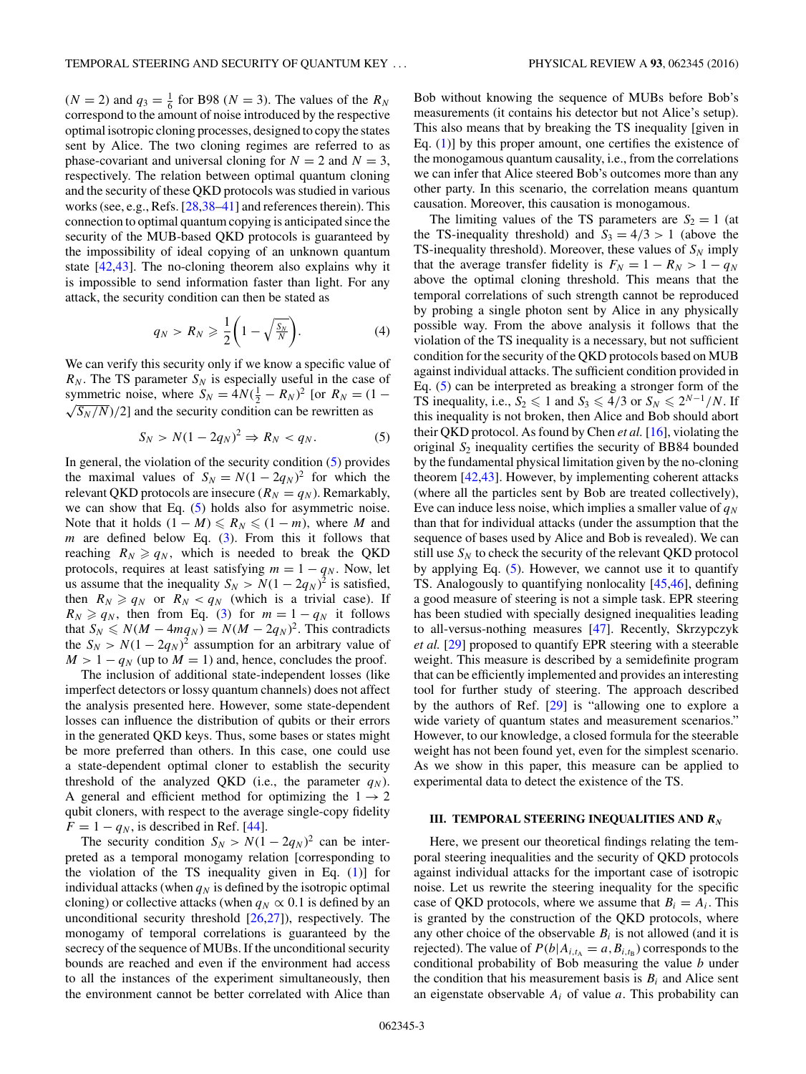<span id="page-2-0"></span> $(N = 2)$  and  $q_3 = \frac{1}{6}$  for B98 ( $N = 3$ ). The values of the  $R_N$ correspond to the amount of noise introduced by the respective optimal isotropic cloning processes, designed to copy the states sent by Alice. The two cloning regimes are referred to as phase-covariant and universal cloning for  $N = 2$  and  $N = 3$ , respectively. The relation between optimal quantum cloning and the security of these QKD protocols was studied in various works (see, e.g., Refs. [\[28,38–41\]](#page-6-0) and references therein). This connection to optimal quantum copying is anticipated since the security of the MUB-based QKD protocols is guaranteed by the impossibility of ideal copying of an unknown quantum state [\[42,43\]](#page-6-0). The no-cloning theorem also explains why it is impossible to send information faster than light. For any attack, the security condition can then be stated as

$$
q_N > R_N \geqslant \frac{1}{2} \bigg( 1 - \sqrt{\frac{S_N}{N}} \bigg). \tag{4}
$$

We can verify this security only if we know a specific value of  $R_N$ . The TS parameter  $S_N$  is especially useful in the case of symmetric noise, where  $S_N = 4N(\frac{1}{2} - R_N)^2$  [or  $R_N = (1 - \sqrt{S_N/N})/2$ ] and the security condition can be rewritten as

$$
S_N > N(1 - 2q_N)^2 \Rightarrow R_N < q_N. \tag{5}
$$

In general, the violation of the security condition  $(5)$  provides the maximal values of  $S_N = N(1 - 2q_N)^2$  for which the relevant QKD protocols are insecure  $(R_N = q_N)$ . Remarkably, we can show that Eq. (5) holds also for asymmetric noise. Note that it holds  $(1 - M) \le R_N \le (1 - m)$ , where *M* and *m* are defined below Eq. [\(3\)](#page-1-0). From this it follows that reaching  $R_N \ge q_N$ , which is needed to break the QKD protocols, requires at least satisfying  $m = 1 - q_N$ . Now, let us assume that the inequality  $S_N > N(1 - 2q_N)^2$  is satisfied, then  $R_N \ge q_N$  or  $R_N < q_N$  (which is a trivial case). If  $R_N \ge q_N$ , then from Eq. [\(3\)](#page-1-0) for  $m = 1 - q_N$  it follows that  $S_N \le N(M - 4mq_N) = N(M - 2q_N)^2$ . This contradicts the  $S_N > N(1 - 2q_N)^2$  assumption for an arbitrary value of  $M > 1 - q_N$  (up to  $M = 1$ ) and, hence, concludes the proof.

The inclusion of additional state-independent losses (like imperfect detectors or lossy quantum channels) does not affect the analysis presented here. However, some state-dependent losses can influence the distribution of qubits or their errors in the generated QKD keys. Thus, some bases or states might be more preferred than others. In this case, one could use a state-dependent optimal cloner to establish the security threshold of the analyzed QKD (i.e., the parameter  $q_N$ ). A general and efficient method for optimizing the  $1 \rightarrow 2$ qubit cloners, with respect to the average single-copy fidelity  $F = 1 - q_N$ , is described in Ref. [\[44\]](#page-6-0).

The security condition  $S_N > N(1 - 2q_N)^2$  can be interpreted as a temporal monogamy relation [corresponding to the violation of the TS inequality given in Eq.  $(1)$  for individual attacks (when  $q_N$  is defined by the isotropic optimal cloning) or collective attacks (when  $q_N \propto 0.1$  is defined by an unconditional security threshold  $[26,27]$ ), respectively. The monogamy of temporal correlations is guaranteed by the secrecy of the sequence of MUBs. If the unconditional security bounds are reached and even if the environment had access to all the instances of the experiment simultaneously, then the environment cannot be better correlated with Alice than

Bob without knowing the sequence of MUBs before Bob's measurements (it contains his detector but not Alice's setup). This also means that by breaking the TS inequality [given in Eq. [\(1\)](#page-1-0)] by this proper amount, one certifies the existence of the monogamous quantum causality, i.e., from the correlations we can infer that Alice steered Bob's outcomes more than any other party. In this scenario, the correlation means quantum causation. Moreover, this causation is monogamous.

The limiting values of the TS parameters are  $S_2 = 1$  (at the TS-inequality threshold) and  $S_3 = 4/3 > 1$  (above the TS-inequality threshold). Moreover, these values of  $S_N$  imply that the average transfer fidelity is  $F_N = 1 - R_N > 1 - q_N$ above the optimal cloning threshold. This means that the temporal correlations of such strength cannot be reproduced by probing a single photon sent by Alice in any physically possible way. From the above analysis it follows that the violation of the TS inequality is a necessary, but not sufficient condition for the security of the QKD protocols based on MUB against individual attacks. The sufficient condition provided in Eq. (5) can be interpreted as breaking a stronger form of the TS inequality, i.e.,  $S_2 \le 1$  and  $S_3 \le 4/3$  or  $S_N \le 2^{N-1}/N$ . If this inequality is not broken, then Alice and Bob should abort their QKD protocol. As found by Chen *et al.* [\[16\]](#page-6-0), violating the original  $S_2$  inequality certifies the security of BB84 bounded by the fundamental physical limitation given by the no-cloning theorem [\[42,43\]](#page-6-0). However, by implementing coherent attacks (where all the particles sent by Bob are treated collectively), Eve can induce less noise, which implies a smaller value of  $q_N$ than that for individual attacks (under the assumption that the sequence of bases used by Alice and Bob is revealed). We can still use  $S_N$  to check the security of the relevant QKD protocol by applying Eq. (5). However, we cannot use it to quantify TS. Analogously to quantifying nonlocality [\[45,46\]](#page-6-0), defining a good measure of steering is not a simple task. EPR steering has been studied with specially designed inequalities leading to all-versus-nothing measures [\[47\]](#page-6-0). Recently, Skrzypczyk *et al.* [\[29\]](#page-6-0) proposed to quantify EPR steering with a steerable weight. This measure is described by a semidefinite program that can be efficiently implemented and provides an interesting tool for further study of steering. The approach described by the authors of Ref. [\[29\]](#page-6-0) is "allowing one to explore a wide variety of quantum states and measurement scenarios." However, to our knowledge, a closed formula for the steerable weight has not been found yet, even for the simplest scenario. As we show in this paper, this measure can be applied to experimental data to detect the existence of the TS.

### **III. TEMPORAL STEERING INEQUALITIES AND** *RN*

Here, we present our theoretical findings relating the temporal steering inequalities and the security of QKD protocols against individual attacks for the important case of isotropic noise. Let us rewrite the steering inequality for the specific case of QKD protocols, where we assume that  $B_i = A_i$ . This is granted by the construction of the QKD protocols, where any other choice of the observable  $B_i$  is not allowed (and it is rejected). The value of  $P(b|A_{i,t_A} = a, B_{i,t_B})$  corresponds to the conditional probability of Bob measuring the value *b* under the condition that his measurement basis is  $B_i$  and Alice sent an eigenstate observable *Ai* of value *a*. This probability can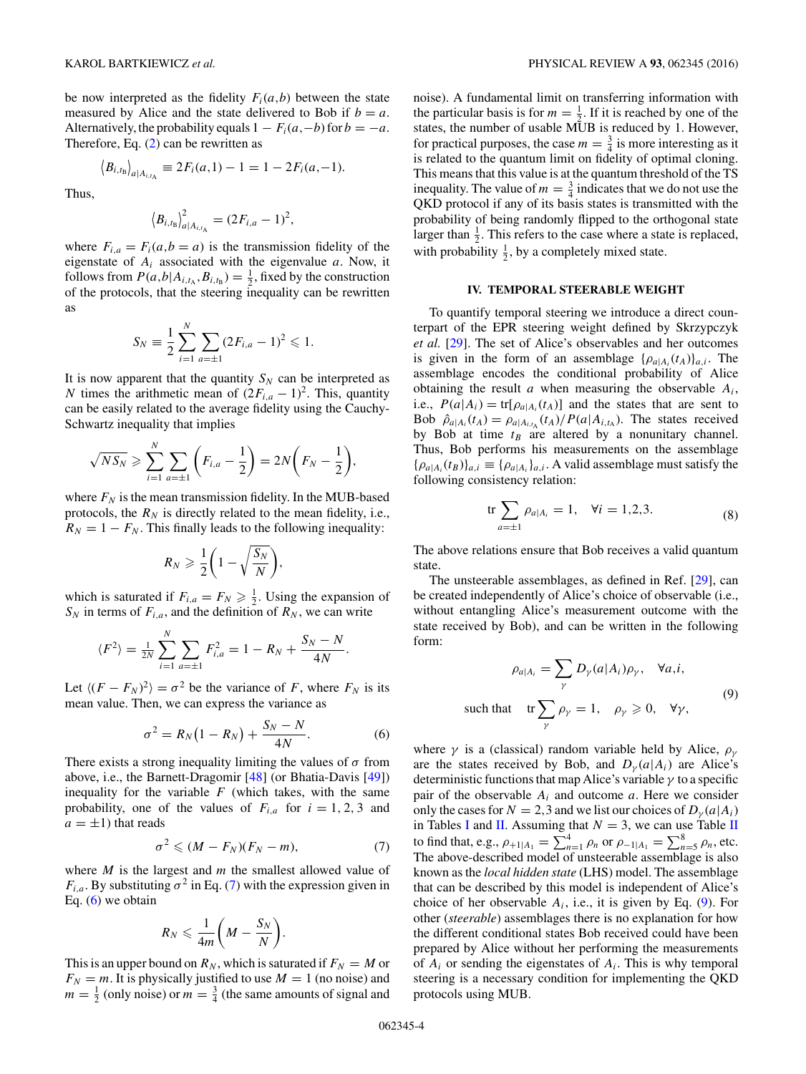<span id="page-3-0"></span>be now interpreted as the fidelity  $F_i(a,b)$  between the state measured by Alice and the state delivered to Bob if  $b = a$ . Alternatively, the probability equals  $1 - F_i(a, -b)$  for  $b = -a$ . Therefore, Eq. [\(2\)](#page-1-0) can be rewritten as

$$
\langle B_{i,t_{\rm B}}\rangle_{a|A_{i,t_{\rm A}}} \equiv 2F_i(a,1)-1=1-2F_i(a,-1).
$$

Thus,

$$
\left\langle B_{i,t_{\rm B}}\right\rangle_{a|A_{i,t_{\rm A}}}^2 = (2F_{i,a}-1)^2,
$$

where  $F_{i,a} = F_i(a,b = a)$  is the transmission fidelity of the eigenstate of *Ai* associated with the eigenvalue *a*. Now, it follows from  $P(a,b|A_{i,t_A},B_{i,t_B}) = \frac{1}{2}$ , fixed by the construction of the protocols, that the steering inequality can be rewritten as

$$
S_N \equiv \frac{1}{2} \sum_{i=1}^N \sum_{a=\pm 1} (2F_{i,a} - 1)^2 \leq 1.
$$

It is now apparent that the quantity  $S_N$  can be interpreted as *N* times the arithmetic mean of  $(2F_{i,a} - 1)^2$ . This, quantity can be easily related to the average fidelity using the Cauchy-Schwartz inequality that implies

$$
\sqrt{NS_N} \geqslant \sum_{i=1}^N \sum_{a=\pm 1} \left( F_{i,a} - \frac{1}{2} \right) = 2N \left( F_N - \frac{1}{2} \right),
$$

where  $F_N$  is the mean transmission fidelity. In the MUB-based protocols, the  $R_N$  is directly related to the mean fidelity, i.e.,  $R_N = 1 - F_N$ . This finally leads to the following inequality:

$$
R_N \geqslant \frac{1}{2} \bigg( 1 - \sqrt{\frac{S_N}{N}} \bigg),
$$

which is saturated if  $F_{i,a} = F_N \ge \frac{1}{2}$ . Using the expansion of  $S_N$  in terms of  $F_{i,a}$ , and the definition of  $R_N$ , we can write

$$
\langle F^2 \rangle = \frac{1}{2N} \sum_{i=1}^N \sum_{a=\pm 1} F_{i,a}^2 = 1 - R_N + \frac{S_N - N}{4N}.
$$

Let  $\langle (F - F_N)^2 \rangle = \sigma^2$  be the variance of *F*, where  $F_N$  is its mean value. Then, we can express the variance as

$$
\sigma^{2} = R_{N}(1 - R_{N}) + \frac{S_{N} - N}{4N}.
$$
 (6)

There exists a strong inequality limiting the values of *σ* from above, i.e., the Barnett-Dragomir [\[48\]](#page-6-0) (or Bhatia-Davis [\[49\]](#page-6-0)) inequality for the variable  $F$  (which takes, with the same probability, one of the values of  $F_{i,a}$  for  $i = 1, 2, 3$  and  $a = \pm 1$ ) that reads

$$
\sigma^2 \leqslant (M - F_N)(F_N - m), \tag{7}
$$

*.*

where *M* is the largest and *m* the smallest allowed value of  $F_{i,a}$ . By substituting  $\sigma^2$  in Eq. (7) with the expression given in Eq.  $(6)$  we obtain

$$
R_N \leqslant \frac{1}{4m}\bigg(M-\frac{S_N}{N}\bigg)
$$

This is an upper bound on  $R_N$ , which is saturated if  $F_N = M$  or  $F_N = m$ . It is physically justified to use  $M = 1$  (no noise) and  $m = \frac{1}{2}$  (only noise) or  $m = \frac{3}{4}$  (the same amounts of signal and noise). A fundamental limit on transferring information with the particular basis is for  $m = \frac{1}{2}$ . If it is reached by one of the states, the number of usable MUB is reduced by 1. However, for practical purposes, the case  $m = \frac{3}{4}$  is more interesting as it is related to the quantum limit on fidelity of optimal cloning. This means that this value is at the quantum threshold of the TS inequality. The value of  $m = \frac{3}{4}$  indicates that we do not use the QKD protocol if any of its basis states is transmitted with the probability of being randomly flipped to the orthogonal state larger than  $\frac{1}{2}$ . This refers to the case where a state is replaced, with probability  $\frac{1}{2}$ , by a completely mixed state.

# **IV. TEMPORAL STEERABLE WEIGHT**

To quantify temporal steering we introduce a direct counterpart of the EPR steering weight defined by Skrzypczyk *et al.* [\[29\]](#page-6-0). The set of Alice's observables and her outcomes is given in the form of an assemblage  $\{\rho_{a|A_i}(t_A)\}_{a,i}$ . The assemblage encodes the conditional probability of Alice obtaining the result *a* when measuring the observable *Ai*, i.e.,  $P(a|A_i) = \text{tr}[\rho_{a|A_i}(t_A)]$  and the states that are sent to Bob  $\hat{\rho}_{a|A_i}(t_A) = \rho_{a|A_{i,t_A}}(t_A)/P(a|A_{i,t_A})$ . The states received by Bob at time  $t_B$  are altered by a nonunitary channel. Thus, Bob performs his measurements on the assemblage  ${\rho_{a|A_i}(t_B)}_{a,i} \equiv {\rho_{a|A_i}}_{a,i}$ . A valid assemblage must satisfy the following consistency relation:

$$
\text{tr}\sum_{a=\pm 1} \rho_{a|A_i} = 1, \quad \forall i = 1, 2, 3. \tag{8}
$$

The above relations ensure that Bob receives a valid quantum state.

The unsteerable assemblages, as defined in Ref. [\[29\]](#page-6-0), can be created independently of Alice's choice of observable (i.e., without entangling Alice's measurement outcome with the state received by Bob), and can be written in the following form:

$$
\rho_{a|A_i} = \sum_{\gamma} D_{\gamma}(a|A_i)\rho_{\gamma}, \quad \forall a, i,
$$
  
such that  $\text{tr}\sum_{\gamma} \rho_{\gamma} = 1, \quad \rho_{\gamma} \geq 0, \quad \forall \gamma,$  (9)

where  $\gamma$  is a (classical) random variable held by Alice,  $\rho_{\gamma}$ are the states received by Bob, and  $D_{\gamma}(a|A_i)$  are Alice's deterministic functions that map Alice's variable *γ* to a specific pair of the observable  $A_i$  and outcome  $a$ . Here we consider only the cases for  $N = 2,3$  and we list our choices of  $D_{\nu}(a|A_i)$ in Tables [I](#page-4-0) and [II.](#page-4-0) Assuming that  $N = 3$ , we can use Table [II](#page-4-0) to find that, e.g.,  $\rho_{+1|A_1} = \sum_{n=1}^{4} \rho_n$  or  $\rho_{-1|A_1} = \sum_{n=5}^{8} \rho_n$ , etc. The above-described model of unsteerable assemblage is also known as the *local hidden state* (LHS) model. The assemblage that can be described by this model is independent of Alice's choice of her observable  $A_i$ , i.e., it is given by Eq.  $(9)$ . For other (*steerable*) assemblages there is no explanation for how the different conditional states Bob received could have been prepared by Alice without her performing the measurements of *Ai* or sending the eigenstates of *Ai*. This is why temporal steering is a necessary condition for implementing the QKD protocols using MUB.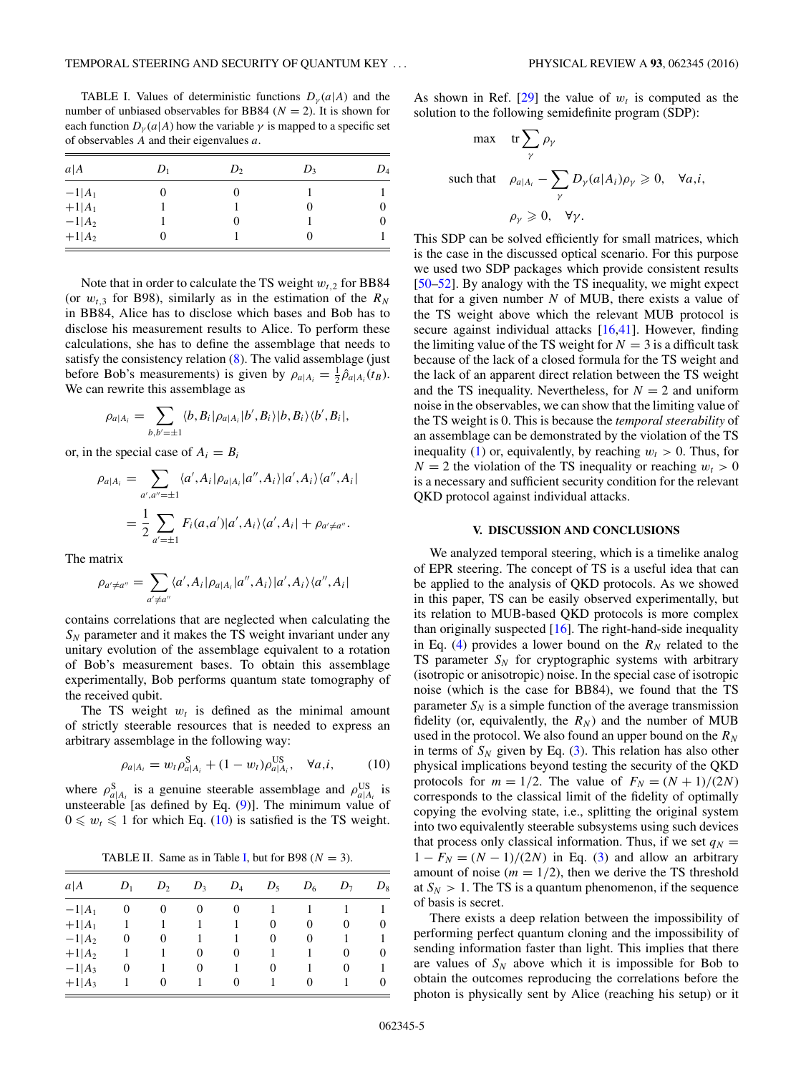<span id="page-4-0"></span>TABLE I. Values of deterministic functions  $D_{\nu}(a|A)$  and the number of unbiased observables for BB84 ( $N = 2$ ). It is shown for each function  $D_{\nu}(a|A)$  how the variable  $\gamma$  is mapped to a specific set of observables *A* and their eigenvalues *a*.

| a A      | $D_1$ | $D_2$ | $D_3$        | $D_{4}$ |
|----------|-------|-------|--------------|---------|
| $-1 A_1$ |       |       |              |         |
| $+1 A_1$ |       |       | $\mathbf{0}$ |         |
| $-1 A_2$ |       |       |              |         |
| $+1 A_2$ |       |       | 0            |         |

Note that in order to calculate the TS weight  $w_{t,2}$  for BB84 (or  $w_{t,3}$  for B98), similarly as in the estimation of the  $R_N$ in BB84, Alice has to disclose which bases and Bob has to disclose his measurement results to Alice. To perform these calculations, she has to define the assemblage that needs to satisfy the consistency relation [\(8\)](#page-3-0). The valid assemblage (just before Bob's measurements) is given by  $\rho_{a|A_i} = \frac{1}{2}\hat{\rho}_{a|A_i}(t_B)$ . We can rewrite this assemblage as

$$
\rho_{a|A_i} = \sum_{b,b'= \pm 1} \langle b, B_i | \rho_{a|A_i} | b', B_i \rangle | b, B_i \rangle \langle b', B_i |,
$$

or, in the special case of  $A_i = B_i$ 

$$
\rho_{a|A_i} = \sum_{a',a''=\pm 1} \langle a', A_i | \rho_{a|A_i} | a'', A_i \rangle | a', A_i \rangle \langle a'', A_i |
$$
  
= 
$$
\frac{1}{2} \sum_{a'=\pm 1} F_i(a, a') | a', A_i \rangle \langle a', A_i | + \rho_{a'\neq a''}.
$$

The matrix

$$
\rho_{a'\neq a''} = \sum_{a'\neq a''} \langle a', A_i | \rho_{a|A_i} | a'', A_i \rangle | a', A_i \rangle \langle a'', A_i |
$$

contains correlations that are neglected when calculating the  $S_N$  parameter and it makes the TS weight invariant under any unitary evolution of the assemblage equivalent to a rotation of Bob's measurement bases. To obtain this assemblage experimentally, Bob performs quantum state tomography of the received qubit.

The TS weight  $w_t$  is defined as the minimal amount of strictly steerable resources that is needed to express an arbitrary assemblage in the following way:

$$
\rho_{a|A_i} = w_t \rho_{a|A_i}^S + (1 - w_t) \rho_{a|A_i}^{US}, \quad \forall a, i,
$$
 (10)

where  $\rho_{a|A_i}^S$  is a genuine steerable assemblage and  $\rho_{a|A_i}^{US}$  is unsteerable [as defined by Eq. [\(9\)](#page-3-0)]. The minimum value of  $0 \leqslant w_t \leqslant 1$  for which Eq. (10) is satisfied is the TS weight.

TABLE II. Same as in Table I, but for B98 ( $N = 3$ ).

| a A      | $D_1$ | D <sub>2</sub> | $D_3$  | $D_4$    | $D_5$ | $D_6$    | $D_7$ | $D_8$    |
|----------|-------|----------------|--------|----------|-------|----------|-------|----------|
| $-1 A_1$ | 0     | 0              | $_{0}$ | $\theta$ |       |          |       |          |
| $+1 A_1$ |       |                |        |          | 0     | 0        | 0     | $\theta$ |
| $-1 A_2$ | 0     | 0              |        |          | 0     | $\theta$ |       |          |
| $+1 A_2$ |       |                | 0      | $\theta$ |       |          | 0     | $\theta$ |
| $-1 A_3$ | 0     |                | 0      |          | 0     |          | 0     |          |
| $+1 A_3$ |       | 0              |        | 0        |       | 0        |       | $\theta$ |

As shown in Ref.  $[29]$  the value of  $w_t$  is computed as the solution to the following semidefinite program (SDP):

max tr 
$$
\sum_{\gamma} \rho_{\gamma}
$$
  
such that  $\rho_{a|A_i} - \sum_{\gamma} D_{\gamma}(a|A_i)\rho_{\gamma} \ge 0$ ,  $\forall a, i$ ,  
 $\rho_{\gamma} \ge 0$ ,  $\forall \gamma$ .

This SDP can be solved efficiently for small matrices, which is the case in the discussed optical scenario. For this purpose we used two SDP packages which provide consistent results [\[50–52\]](#page-6-0). By analogy with the TS inequality, we might expect that for a given number *N* of MUB, there exists a value of the TS weight above which the relevant MUB protocol is secure against individual attacks [\[16,41\]](#page-6-0). However, finding the limiting value of the TS weight for  $N = 3$  is a difficult task because of the lack of a closed formula for the TS weight and the lack of an apparent direct relation between the TS weight and the TS inequality. Nevertheless, for  $N = 2$  and uniform noise in the observables, we can show that the limiting value of the TS weight is 0. This is because the *temporal steerability* of an assemblage can be demonstrated by the violation of the TS inequality [\(1\)](#page-1-0) or, equivalently, by reaching  $w_t > 0$ . Thus, for  $N = 2$  the violation of the TS inequality or reaching  $w_t > 0$ is a necessary and sufficient security condition for the relevant QKD protocol against individual attacks.

# **V. DISCUSSION AND CONCLUSIONS**

We analyzed temporal steering, which is a timelike analog of EPR steering. The concept of TS is a useful idea that can be applied to the analysis of QKD protocols. As we showed in this paper, TS can be easily observed experimentally, but its relation to MUB-based QKD protocols is more complex than originally suspected  $[16]$ . The right-hand-side inequality in Eq. [\(4\)](#page-2-0) provides a lower bound on the  $R_N$  related to the TS parameter  $S_N$  for cryptographic systems with arbitrary (isotropic or anisotropic) noise. In the special case of isotropic noise (which is the case for BB84), we found that the TS parameter  $S_N$  is a simple function of the average transmission fidelity (or, equivalently, the  $R_N$ ) and the number of MUB used in the protocol. We also found an upper bound on the  $R_N$ in terms of  $S_N$  given by Eq. [\(3\)](#page-1-0). This relation has also other physical implications beyond testing the security of the QKD protocols for  $m = 1/2$ . The value of  $F_N = (N + 1)/(2N)$ corresponds to the classical limit of the fidelity of optimally copying the evolving state, i.e., splitting the original system into two equivalently steerable subsystems using such devices that process only classical information. Thus, if we set  $q_N =$  $1 - F_N = (N - 1)/(2N)$  in Eq. [\(3\)](#page-1-0) and allow an arbitrary amount of noise  $(m = 1/2)$ , then we derive the TS threshold at  $S_N > 1$ . The TS is a quantum phenomenon, if the sequence of basis is secret.

There exists a deep relation between the impossibility of performing perfect quantum cloning and the impossibility of sending information faster than light. This implies that there are values of  $S_N$  above which it is impossible for Bob to obtain the outcomes reproducing the correlations before the photon is physically sent by Alice (reaching his setup) or it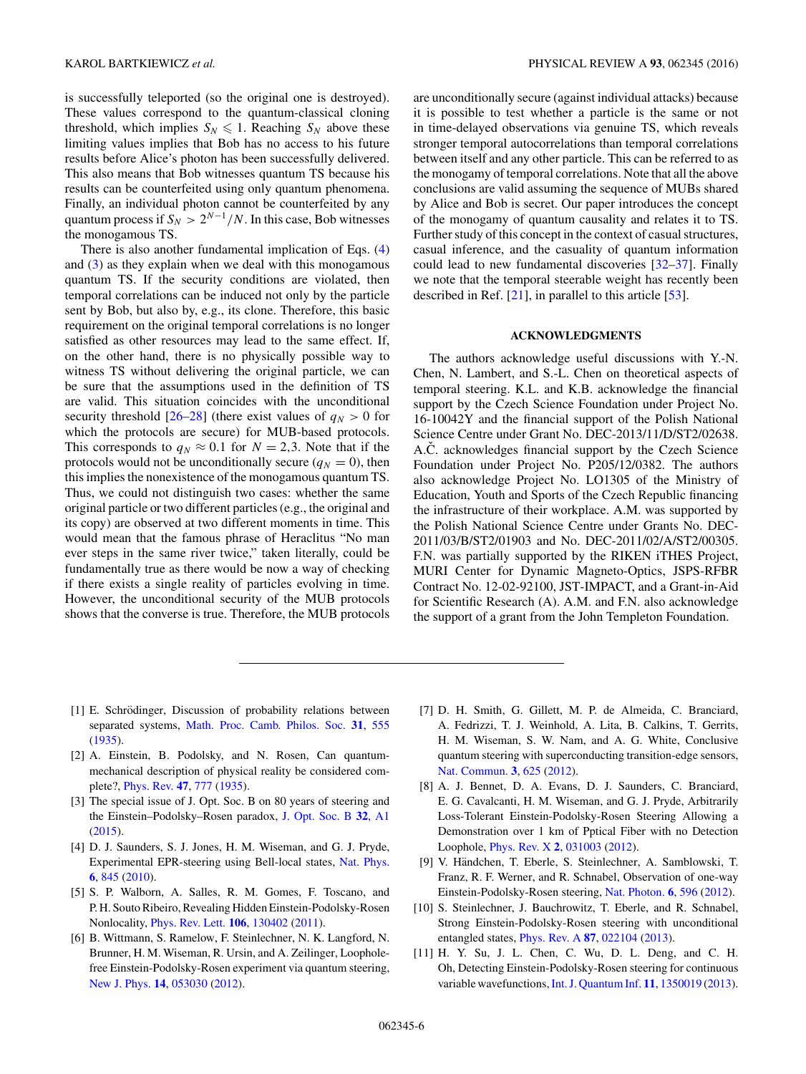<span id="page-5-0"></span>is successfully teleported (so the original one is destroyed). These values correspond to the quantum-classical cloning threshold, which implies  $S_N \leq 1$ . Reaching  $S_N$  above these limiting values implies that Bob has no access to his future results before Alice's photon has been successfully delivered. This also means that Bob witnesses quantum TS because his results can be counterfeited using only quantum phenomena. Finally, an individual photon cannot be counterfeited by any quantum process if  $S_N > 2^{N-1}/N$ . In this case, Bob witnesses the monogamous TS.

There is also another fundamental implication of Eqs. [\(4\)](#page-2-0) and [\(3\)](#page-1-0) as they explain when we deal with this monogamous quantum TS. If the security conditions are violated, then temporal correlations can be induced not only by the particle sent by Bob, but also by, e.g., its clone. Therefore, this basic requirement on the original temporal correlations is no longer satisfied as other resources may lead to the same effect. If, on the other hand, there is no physically possible way to witness TS without delivering the original particle, we can be sure that the assumptions used in the definition of TS are valid. This situation coincides with the unconditional security threshold  $\left[26-28\right]$  (there exist values of  $q_N > 0$  for which the protocols are secure) for MUB-based protocols. This corresponds to  $q_N \approx 0.1$  for  $N = 2.3$ . Note that if the protocols would not be unconditionally secure  $(q_N = 0)$ , then this implies the nonexistence of the monogamous quantum TS. Thus, we could not distinguish two cases: whether the same original particle or two different particles (e.g., the original and its copy) are observed at two different moments in time. This would mean that the famous phrase of Heraclitus "No man ever steps in the same river twice," taken literally, could be fundamentally true as there would be now a way of checking if there exists a single reality of particles evolving in time. However, the unconditional security of the MUB protocols shows that the converse is true. Therefore, the MUB protocols

are unconditionally secure (against individual attacks) because it is possible to test whether a particle is the same or not in time-delayed observations via genuine TS, which reveals stronger temporal autocorrelations than temporal correlations between itself and any other particle. This can be referred to as the monogamy of temporal correlations. Note that all the above conclusions are valid assuming the sequence of MUBs shared by Alice and Bob is secret. Our paper introduces the concept of the monogamy of quantum causality and relates it to TS. Further study of this concept in the context of casual structures, casual inference, and the casuality of quantum information could lead to new fundamental discoveries [\[32–37\]](#page-6-0). Finally we note that the temporal steerable weight has recently been described in Ref. [\[21\]](#page-6-0), in parallel to this article [\[53\]](#page-6-0).

#### **ACKNOWLEDGMENTS**

The authors acknowledge useful discussions with Y.-N. Chen, N. Lambert, and S.-L. Chen on theoretical aspects of temporal steering. K.L. and K.B. acknowledge the financial support by the Czech Science Foundation under Project No. 16-10042Y and the financial support of the Polish National Science Centre under Grant No. DEC-2013/11/D/ST2/02638. A.C. acknowledges financial support by the Czech Science Foundation under Project No. P205/12/0382. The authors also acknowledge Project No. LO1305 of the Ministry of Education, Youth and Sports of the Czech Republic financing the infrastructure of their workplace. A.M. was supported by the Polish National Science Centre under Grants No. DEC-2011/03/B/ST2/01903 and No. DEC-2011/02/A/ST2/00305. F.N. was partially supported by the RIKEN iTHES Project, MURI Center for Dynamic Magneto-Optics, JSPS-RFBR Contract No. 12-02-92100, JST-IMPACT, and a Grant-in-Aid for Scientific Research (A). A.M. and F.N. also acknowledge the support of a grant from the John Templeton Foundation.

- [1] E. Schrödinger, Discussion of probability relations between separated systems, [Math. Proc. Camb. Philos. Soc.](http://dx.doi.org/10.1017/S0305004100013554) **[31](http://dx.doi.org/10.1017/S0305004100013554)**, [555](http://dx.doi.org/10.1017/S0305004100013554) [\(1935\)](http://dx.doi.org/10.1017/S0305004100013554).
- [2] A. Einstein, B. Podolsky, and N. Rosen, Can quantummechanical description of physical reality be considered complete?, [Phys. Rev.](http://dx.doi.org/10.1103/PhysRev.47.777) **[47](http://dx.doi.org/10.1103/PhysRev.47.777)**, [777](http://dx.doi.org/10.1103/PhysRev.47.777) [\(1935\)](http://dx.doi.org/10.1103/PhysRev.47.777).
- [3] The special issue of J. Opt. Soc. B on 80 years of steering and the Einstein–Podolsky–Rosen paradox, [J. Opt. Soc. B](http://dx.doi.org/10.1364/JOSAB.32.0000A1) **[32](http://dx.doi.org/10.1364/JOSAB.32.0000A1)**, [A1](http://dx.doi.org/10.1364/JOSAB.32.0000A1) [\(2015\)](http://dx.doi.org/10.1364/JOSAB.32.0000A1).
- [4] D. J. Saunders, S. J. Jones, H. M. Wiseman, and G. J. Pryde, Experimental EPR-steering using Bell-local states, [Nat. Phys.](http://dx.doi.org/10.1038/nphys1766) **[6](http://dx.doi.org/10.1038/nphys1766)**, [845](http://dx.doi.org/10.1038/nphys1766) [\(2010\)](http://dx.doi.org/10.1038/nphys1766).
- [5] S. P. Walborn, A. Salles, R. M. Gomes, F. Toscano, and P. H. Souto Ribeiro, Revealing Hidden Einstein-Podolsky-Rosen Nonlocality, [Phys. Rev. Lett.](http://dx.doi.org/10.1103/PhysRevLett.106.130402) **[106](http://dx.doi.org/10.1103/PhysRevLett.106.130402)**, [130402](http://dx.doi.org/10.1103/PhysRevLett.106.130402) [\(2011\)](http://dx.doi.org/10.1103/PhysRevLett.106.130402).
- [6] B. Wittmann, S. Ramelow, F. Steinlechner, N. K. Langford, N. Brunner, H. M. Wiseman, R. Ursin, and A. Zeilinger, Loopholefree Einstein-Podolsky-Rosen experiment via quantum steering, [New J. Phys.](http://dx.doi.org/10.1088/1367-2630/14/5/053030) **[14](http://dx.doi.org/10.1088/1367-2630/14/5/053030)**, [053030](http://dx.doi.org/10.1088/1367-2630/14/5/053030) [\(2012\)](http://dx.doi.org/10.1088/1367-2630/14/5/053030).
- [7] D. H. Smith, G. Gillett, M. P. de Almeida, C. Branciard, A. Fedrizzi, T. J. Weinhold, A. Lita, B. Calkins, T. Gerrits, H. M. Wiseman, S. W. Nam, and A. G. White, Conclusive quantum steering with superconducting transition-edge sensors, [Nat. Commun.](http://dx.doi.org/10.1038/ncomms1628) **[3](http://dx.doi.org/10.1038/ncomms1628)**, [625](http://dx.doi.org/10.1038/ncomms1628) [\(2012\)](http://dx.doi.org/10.1038/ncomms1628).
- [8] A. J. Bennet, D. A. Evans, D. J. Saunders, C. Branciard, E. G. Cavalcanti, H. M. Wiseman, and G. J. Pryde, Arbitrarily Loss-Tolerant Einstein-Podolsky-Rosen Steering Allowing a Demonstration over 1 km of Pptical Fiber with no Detection Loophole, [Phys. Rev. X](http://dx.doi.org/10.1103/PhysRevX.2.031003) **[2](http://dx.doi.org/10.1103/PhysRevX.2.031003)**, [031003](http://dx.doi.org/10.1103/PhysRevX.2.031003) [\(2012\)](http://dx.doi.org/10.1103/PhysRevX.2.031003).
- [9] V. Händchen, T. Eberle, S. Steinlechner, A. Samblowski, T. Franz, R. F. Werner, and R. Schnabel, Observation of one-way Einstein-Podolsky-Rosen steering, [Nat. Photon.](http://dx.doi.org/10.1038/nphoton.2012.202) **[6](http://dx.doi.org/10.1038/nphoton.2012.202)**, [596](http://dx.doi.org/10.1038/nphoton.2012.202) [\(2012\)](http://dx.doi.org/10.1038/nphoton.2012.202).
- [10] S. Steinlechner, J. Bauchrowitz, T. Eberle, and R. Schnabel, Strong Einstein-Podolsky-Rosen steering with unconditional entangled states, [Phys. Rev. A](http://dx.doi.org/10.1103/PhysRevA.87.022104) **[87](http://dx.doi.org/10.1103/PhysRevA.87.022104)**, [022104](http://dx.doi.org/10.1103/PhysRevA.87.022104) [\(2013\)](http://dx.doi.org/10.1103/PhysRevA.87.022104).
- [11] H. Y. Su, J. L. Chen, C. Wu, D. L. Deng, and C. H. Oh, Detecting Einstein-Podolsky-Rosen steering for continuous variable wavefunctions, [Int. J. Quantum Inf.](http://dx.doi.org/10.1142/S0219749913500196) [11](http://dx.doi.org/10.1142/S0219749913500196), [1350019](http://dx.doi.org/10.1142/S0219749913500196) [\(2013\)](http://dx.doi.org/10.1142/S0219749913500196).